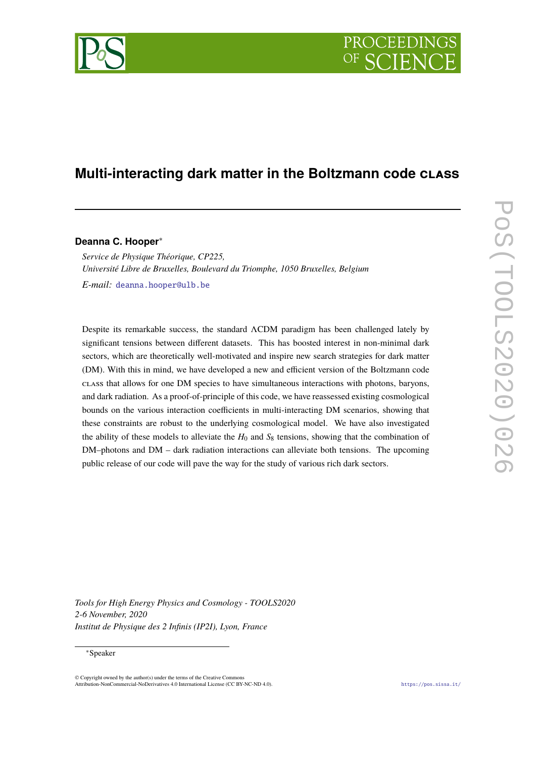# **PROCEEDING**

## **Multi-interacting dark matter in the Boltzmann code class**

**Deanna C. Hooper**∗

*Service de Physique Théorique, CP225, Université Libre de Bruxelles, Boulevard du Triomphe, 1050 Bruxelles, Belgium E-mail:* [deanna.hooper@ulb.be](mailto:deanna.hooper@ulb.be)

Despite its remarkable success, the standard ΛCDM paradigm has been challenged lately by significant tensions between different datasets. This has boosted interest in non-minimal dark sectors, which are theoretically well-motivated and inspire new search strategies for dark matter (DM). With this in mind, we have developed a new and efficient version of the Boltzmann code class that allows for one DM species to have simultaneous interactions with photons, baryons, and dark radiation. As a proof-of-principle of this code, we have reassessed existing cosmological bounds on the various interaction coefficients in multi-interacting DM scenarios, showing that these constraints are robust to the underlying cosmological model. We have also investigated the ability of these models to alleviate the  $H_0$  and  $S_8$  tensions, showing that the combination of DM–photons and DM – dark radiation interactions can alleviate both tensions. The upcoming public release of our code will pave the way for the study of various rich dark sectors.

**POS(DOLS2020)026** PoS(TOOLS2020)026

*Tools for High Energy Physics and Cosmology - TOOLS2020 2-6 November, 2020 Institut de Physique des 2 Infinis (IP2I), Lyon, France*

#### <sup>∗</sup>Speaker

 $\odot$  Copyright owned by the author(s) under the terms of the Creative Common Attribution-NonCommercial-NoDerivatives 4.0 International License (CC BY-NC-ND 4.0). <https://pos.sissa.it/>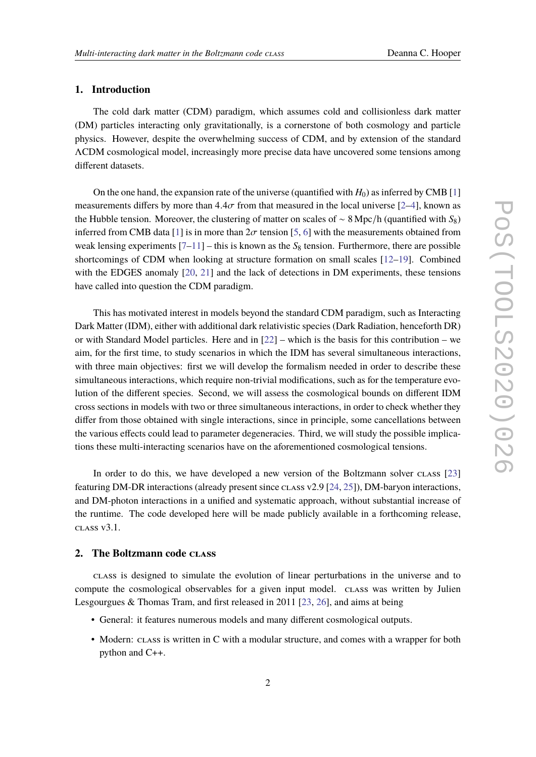### **1. Introduction**

The cold dark matter (CDM) paradigm, which assumes cold and collisionless dark matter (DM) particles interacting only gravitationally, is a cornerstone of both cosmology and particle physics. However, despite the overwhelming success of CDM, and by extension of the standard ΛCDM cosmological model, increasingly more precise data have uncovered some tensions among different datasets.

On the one hand, the expansion rate of the universe (quantified with  $H_0$ ) as inferred by CMB [\[1\]](#page-13-0) measurements differs by more than  $4.4\sigma$  from that measured in the local universe [\[2](#page-13-1)[–4\]](#page-13-2), known as the Hubble tension. Moreover, the clustering of matter on scales of ∼ 8 Mpc/h (quantified with *S*8) inferred from CMB data [\[1\]](#page-13-0) is in more than  $2\sigma$  tension [\[5,](#page-13-3) [6\]](#page-13-4) with the measurements obtained from weak lensing experiments  $[7-11]$  $[7-11]$  – this is known as the  $S_8$  tension. Furthermore, there are possible shortcomings of CDM when looking at structure formation on small scales [\[12–](#page-14-1)[19\]](#page-14-2). Combined with the EDGES anomaly [\[20,](#page-14-3) [21\]](#page-14-4) and the lack of detections in DM experiments, these tensions have called into question the CDM paradigm.

This has motivated interest in models beyond the standard CDM paradigm, such as Interacting Dark Matter (IDM), either with additional dark relativistic species (Dark Radiation, henceforth DR) or with Standard Model particles. Here and in  $[22]$  – which is the basis for this contribution – we aim, for the first time, to study scenarios in which the IDM has several simultaneous interactions, with three main objectives: first we will develop the formalism needed in order to describe these simultaneous interactions, which require non-trivial modifications, such as for the temperature evolution of the different species. Second, we will assess the cosmological bounds on different IDM cross sections in models with two or three simultaneous interactions, in order to check whether they differ from those obtained with single interactions, since in principle, some cancellations between the various effects could lead to parameter degeneracies. Third, we will study the possible implications these multi-interacting scenarios have on the aforementioned cosmological tensions.

In order to do this, we have developed a new version of the Boltzmann solver class [\[23\]](#page-14-6) featuring DM-DR interactions (already present since class v2.9 [\[24,](#page-14-7) [25\]](#page-15-0)), DM-baryon interactions, and DM-photon interactions in a unified and systematic approach, without substantial increase of the runtime. The code developed here will be made publicly available in a forthcoming release, class v3.1.

#### **2. The Boltzmann code class**

class is designed to simulate the evolution of linear perturbations in the universe and to compute the cosmological observables for a given input model. class was written by Julien Lesgourgues & Thomas Tram, and first released in 2011 [\[23,](#page-14-6) [26\]](#page-15-1), and aims at being

- General: it features numerous models and many different cosmological outputs.
- Modern: class is written in C with a modular structure, and comes with a wrapper for both python and C++.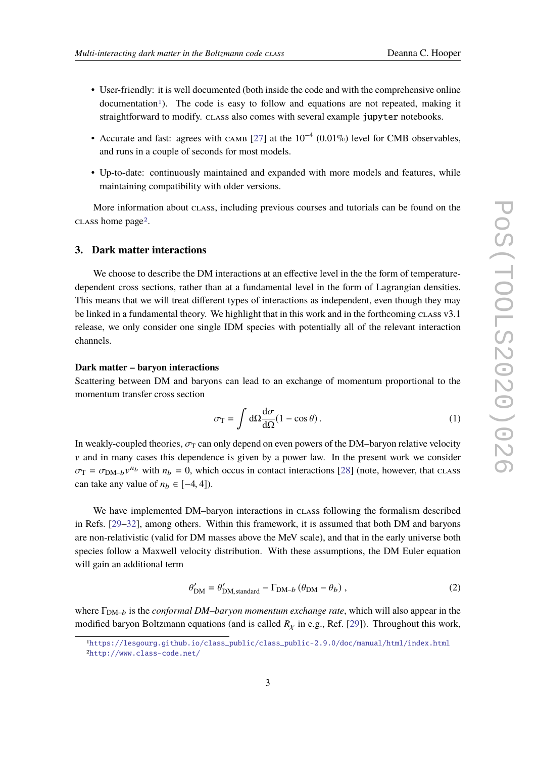- User-friendly: it is well documented (both inside the code and with the comprehensive online  $d$ ocumentation<sup>[1](#page-2-0)</sup>). The code is easy to follow and equations are not repeated, making it straightforward to modify. class also comes with several example jupyter notebooks.
- Accurate and fast: agrees with  $CAMB$  [\[27\]](#page-15-2) at the  $10^{-4}$  (0.01%) level for CMB observables, and runs in a couple of seconds for most models.
- Up-to-date: continuously maintained and expanded with more models and features, while maintaining compatibility with older versions.

More information about class, including previous courses and tutorials can be found on the class home page[2](#page-2-1).

#### **3. Dark matter interactions**

We choose to describe the DM interactions at an effective level in the the form of temperaturedependent cross sections, rather than at a fundamental level in the form of Lagrangian densities. This means that we will treat different types of interactions as independent, even though they may be linked in a fundamental theory. We highlight that in this work and in the forthcoming class v3.1 release, we only consider one single IDM species with potentially all of the relevant interaction channels.

#### **Dark matter – baryon interactions**

Scattering between DM and baryons can lead to an exchange of momentum proportional to the momentum transfer cross section

$$
\sigma_{\rm T} = \int d\Omega \frac{d\sigma}{d\Omega} (1 - \cos \theta). \tag{1}
$$

In weakly-coupled theories,  $\sigma_T$  can only depend on even powers of the DM–baryon relative velocity  $\nu$  and in many cases this dependence is given by a power law. In the present work we consider  $\sigma_{\rm T} = \sigma_{\rm DM-b} v^{n_b}$  with  $n_b = 0$ , which occus in contact interactions [\[28\]](#page-15-3) (note, however, that class can take any value of  $n_b \in [-4, 4]$ ).

We have implemented DM–baryon interactions in class following the formalism described in Refs. [\[29–](#page-15-4)[32\]](#page-15-5), among others. Within this framework, it is assumed that both DM and baryons are non-relativistic (valid for DM masses above the MeV scale), and that in the early universe both species follow a Maxwell velocity distribution. With these assumptions, the DM Euler equation will gain an additional term

$$
\theta_{\rm DM}' = \theta_{\rm DM, standard}' - \Gamma_{\rm DM-b} \left(\theta_{\rm DM} - \theta_b\right),\tag{2}
$$

where Γ<sub>DM-b</sub> is the *conformal DM-baryon momentum exchange rate*, which will also appear in the modified baryon Boltzmann equations (and is called  $R<sub>x</sub>$  in e.g., Ref. [\[29\]](#page-15-4)). Throughout this work,

<span id="page-2-1"></span><span id="page-2-0"></span><sup>1</sup>[https://lesgourg.github.io/class\\_public/class\\_public-2.9.0/doc/manual/html/index.html](https://lesgourg.github.io/class_public/class_public-2.9.0/doc/manual/html/index.html) 2<http://www.class-code.net/>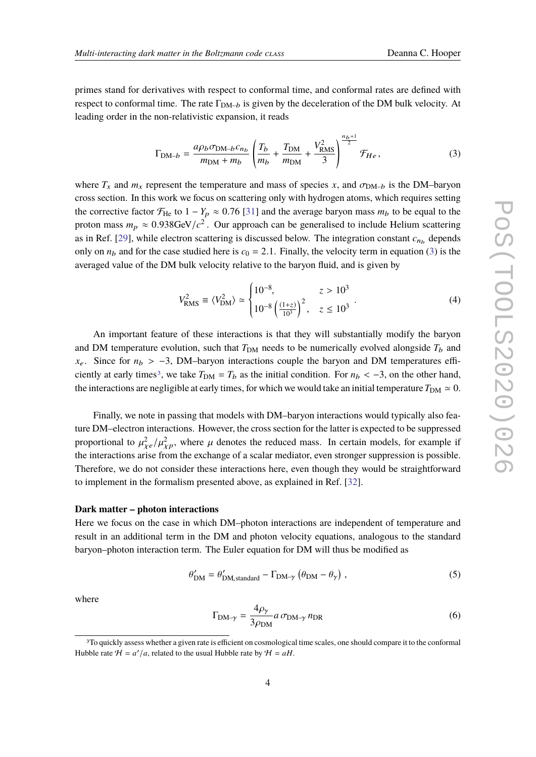primes stand for derivatives with respect to conformal time, and conformal rates are defined with respect to conformal time. The rate  $\Gamma_{\text{DM}-b}$  is given by the deceleration of the DM bulk velocity. At leading order in the non-relativistic expansion, it reads

<span id="page-3-0"></span>
$$
\Gamma_{\text{DM}-b} = \frac{a\rho_b \sigma_{\text{DM}-b} c_{n_b}}{m_{\text{DM}} + m_b} \left( \frac{T_b}{m_b} + \frac{T_{\text{DM}}}{m_{\text{DM}}} + \frac{V_{\text{RMS}}^2}{3} \right)^{\frac{n_b+1}{2}} \mathcal{F}_{He} ,
$$
 (3)

where  $T_x$  and  $m_x$  represent the temperature and mass of species x, and  $\sigma_{DM-b}$  is the DM–baryon cross section. In this work we focus on scattering only with hydrogen atoms, which requires setting the corrective factor  $\mathcal{F}_{\text{He}}$  to  $1 - Y_p \approx 0.76$  [\[31\]](#page-15-6) and the average baryon mass  $m_b$  to be equal to the proton mass  $m_p \approx 0.938 \text{GeV}/c^2$ . Our approach can be generalised to include Helium scattering<br>cas in Ref. [20] while algetran sections is discussed below. The integration constant a dependent as in Ref. [\[29\]](#page-15-4), while electron scattering is discussed below. The integration constant  $c_{n_b}$  depends only on  $n_b$  and for the case studied here is  $c_0 = 2.1$ . Finally, the velocity term in equation [\(3\)](#page-3-0) is the averaged value of the DM bulk velocity relative to the baryon fluid, and is given by

$$
V_{\text{RMS}}^2 \equiv \langle V_{\text{DM}}^2 \rangle \simeq \begin{cases} 10^{-8}, & z > 10^3 \\ 10^{-8} \left( \frac{(1+z)}{10^3} \right)^2, & z \le 10^3 \end{cases} \tag{4}
$$

An important feature of these interactions is that they will substantially modify the baryon and DM temperature evolution, such that  $T_{DM}$  needs to be numerically evolved alongside  $T_b$  and *x*<sub>e</sub>. Since for  $n_b$  > −3, DM–baryon interactions couple the baryon and DM temperatures effi-ciently at early times<sup>[3](#page-3-1)</sup>, we take  $T_{DM} = T_b$  as the initial condition. For  $n_b < -3$ , on the other hand, the interactions are negligible at early times, for which we would take an initial temperature  $T_{DM} \simeq 0$ .

J.

Finally, we note in passing that models with DM–baryon interactions would typically also feature DM–electron interactions. However, the cross section for the latter is expected to be suppressed proportional to  $\mu_{\chi e}^2/\mu_{\chi p}^2$ , where  $\mu$  denotes the reduced mass. In certain models, for example if the interactions arise from the exchange of a scalar mediator, even stronger suppression is possible. Therefore, we do not consider these interactions here, even though they would be straightforward to implement in the formalism presented above, as explained in Ref. [\[32\]](#page-15-5).

#### **Dark matter – photon interactions**

Here we focus on the case in which DM–photon interactions are independent of temperature and result in an additional term in the DM and photon velocity equations, analogous to the standard baryon–photon interaction term. The Euler equation for DM will thus be modified as

$$
\theta'_{\rm DM} = \theta'_{\rm DM, standard} - \Gamma_{\rm DM-\gamma} (\theta_{\rm DM} - \theta_{\gamma}), \qquad (5)
$$

where

$$
\Gamma_{\text{DM-}\gamma} = \frac{4\rho_{\gamma}}{3\rho_{\text{DM}}} a \,\sigma_{\text{DM-}\gamma} n_{\text{DR}} \tag{6}
$$

<span id="page-3-1"></span><sup>3</sup>To quickly assess whether a given rate is efficient on cosmological time scales, one should compare it to the conformal Hubble rate  $H = a'/a$ , related to the usual Hubble rate by  $H = aH$ .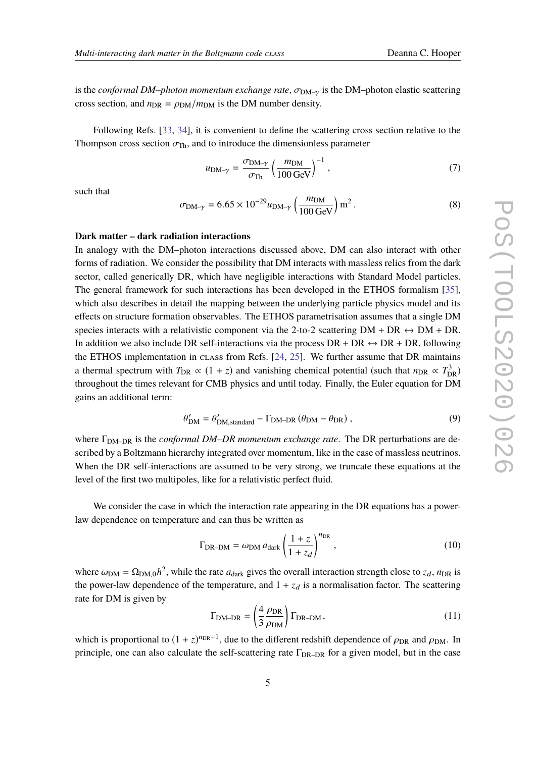is the *conformal DM–photon momentum exchange rate*,  $\sigma_{DM-\gamma}$  is the DM–photon elastic scattering cross section, and  $n_{\text{DR}} = \rho_{\text{DM}}/m_{\text{DM}}$  is the DM number density.

Following Refs. [\[33,](#page-15-7) [34\]](#page-15-8), it is convenient to define the scattering cross section relative to the Thompson cross section  $\sigma_{\text{Th}}$ , and to introduce the dimensionless parameter

$$
u_{\rm DM-\gamma} = \frac{\sigma_{\rm DM-\gamma}}{\sigma_{\rm Th}} \left(\frac{m_{\rm DM}}{100 \,\text{GeV}}\right)^{-1},\tag{7}
$$

such that

$$
\sigma_{\text{DM-}\gamma} = 6.65 \times 10^{-29} u_{\text{DM-}\gamma} \left(\frac{m_{\text{DM}}}{100 \text{ GeV}}\right) \text{m}^2. \tag{8}
$$

#### **Dark matter – dark radiation interactions**

In analogy with the DM–photon interactions discussed above, DM can also interact with other forms of radiation. We consider the possibility that DM interacts with massless relics from the dark sector, called generically DR, which have negligible interactions with Standard Model particles. The general framework for such interactions has been developed in the ETHOS formalism [\[35\]](#page-15-9), which also describes in detail the mapping between the underlying particle physics model and its effects on structure formation observables. The ETHOS parametrisation assumes that a single DM species interacts with a relativistic component via the 2-to-2 scattering  $DM + DR \leftrightarrow DM + DR$ . In addition we also include DR self-interactions via the process  $DR + DR \leftrightarrow DR + DR$ , following the ETHOS implementation in class from Refs. [\[24,](#page-14-7) [25\]](#page-15-0). We further assume that DR maintains a thermal spectrum with  $T_{DR} \propto (1 + z)$  and vanishing chemical potential (such that  $n_{DR} \propto T_{DR}^3$ ) throughout the times relevant for CMB physics and until today. Finally, the Euler equation for DM gains an additional term:

$$
\theta_{\rm DM}' = \theta_{\rm DM, standard}' - \Gamma_{\rm DM-DR} (\theta_{\rm DM} - \theta_{\rm DR}), \qquad (9)
$$

where Γ<sub>DM–DR</sub> is the *conformal DM–DR momentum exchange rate*. The DR perturbations are described by a Boltzmann hierarchy integrated over momentum, like in the case of massless neutrinos. When the DR self-interactions are assumed to be very strong, we truncate these equations at the level of the first two multipoles, like for a relativistic perfect fluid.

We consider the case in which the interaction rate appearing in the DR equations has a powerlaw dependence on temperature and can thus be written as

<span id="page-4-0"></span>
$$
\Gamma_{\text{DR}-\text{DM}} = \omega_{\text{DM}} a_{\text{dark}} \left( \frac{1+z}{1+z_d} \right)^{n_{\text{DR}}}, \qquad (10)
$$

where  $\omega_{DM} = \Omega_{DM,0}h^2$ , while the rate  $a_{dark}$  gives the overall interaction strength close to  $z_d$ ,  $n_{DR}$  is<br>the neural law dependence of the temperature, and 1 i. r. is a neuralisation factor. The sectoring the power-law dependence of the temperature, and  $1 + z_d$  is a normalisation factor. The scattering rate for DM is given by

$$
\Gamma_{\text{DM}-\text{DR}} = \left(\frac{4}{3} \frac{\rho_{\text{DR}}}{\rho_{\text{DM}}}\right) \Gamma_{\text{DR}-\text{DM}},\tag{11}
$$

which is proportional to  $(1 + z)^{n_{\text{DR}}+1}$ , due to the different redshift dependence of  $\rho_{\text{DR}}$  and  $\rho_{\text{DM}}$ . In principle, one can also calculate the self-scattering rate  $\Gamma_{DR-DR}$  for a given model, but in the case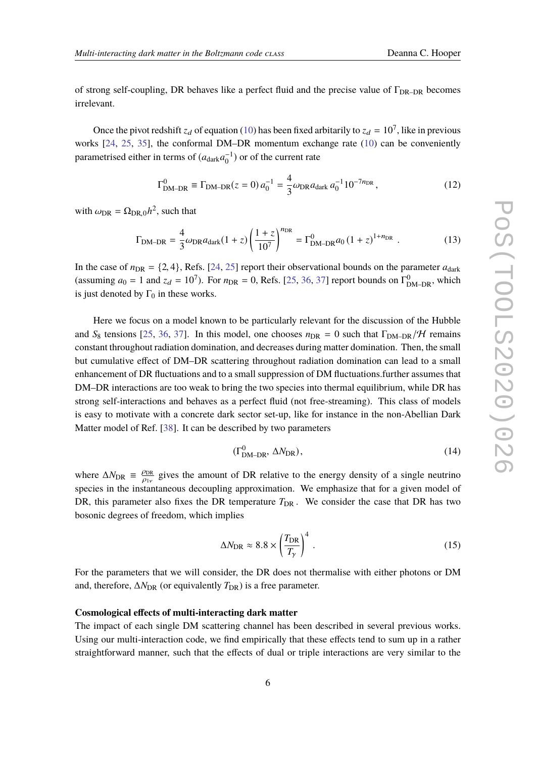of strong self-coupling, DR behaves like a perfect fluid and the precise value of  $\Gamma_{\text{DR-DR}}$  becomes irrelevant.

Once the pivot redshift  $z_d$  of equation [\(10\)](#page-4-0) has been fixed arbitarily to  $z_d = 10^7$ , like in previous works [\[24,](#page-14-7) [25,](#page-15-0) [35\]](#page-15-9), the conformal DM–DR momentum exchange rate [\(10\)](#page-4-0) can be conveniently parametrised either in terms of  $(a_{dark}a_0^{-1})$  or of the current rate

$$
\Gamma_{\text{DM-DR}}^0 \equiv \Gamma_{\text{DM-DR}}(z=0) a_0^{-1} = \frac{4}{3} \omega_{\text{DR}} a_{\text{dark}} a_0^{-1} 10^{-7n_{\text{DR}}},\tag{12}
$$

with  $\omega_{\text{DR}} = \Omega_{\text{DR},0}h^2$ , such that

$$
\Gamma_{\text{DM}-\text{DR}} = \frac{4}{3} \omega_{\text{DR}} a_{\text{dark}} (1+z) \left( \frac{1+z}{10^7} \right)^{n_{\text{DR}}} = \Gamma_{\text{DM}-\text{DR}}^0 a_0 (1+z)^{1+n_{\text{DR}}} \tag{13}
$$

In the case of  $n_{DR} = \{2, 4\}$ , Refs. [\[24,](#page-14-7) [25\]](#page-15-0) report their observational bounds on the parameter  $a_{dark}$ (assuming  $a_0 = 1$  and  $z_d = 10^7$ ). For  $n_{DR} = 0$ , Refs. [\[25,](#page-15-0) [36,](#page-15-10) [37\]](#page-15-11) report bounds on  $\Gamma_{\text{DM-DR}}^0$ , which is just denoted by  $\Gamma_0$  in these works.

Here we focus on a model known to be particularly relevant for the discussion of the Hubble and *S*<sub>8</sub> tensions [\[25,](#page-15-0) [36,](#page-15-10) [37\]](#page-15-11). In this model, one chooses  $n_{DR} = 0$  such that  $\Gamma_{DM-DR}/H$  remains constant throughout radiation domination, and decreases during matter domination. Then, the small but cumulative effect of DM–DR scattering throughout radiation domination can lead to a small enhancement of DR fluctuations and to a small suppression of DM fluctuations.further assumes that DM–DR interactions are too weak to bring the two species into thermal equilibrium, while DR has strong self-interactions and behaves as a perfect fluid (not free-streaming). This class of models is easy to motivate with a concrete dark sector set-up, like for instance in the non-Abellian Dark Matter model of Ref. [\[38\]](#page-15-12). It can be described by two parameters

$$
(\Gamma^0_{\text{DM-DR}}, \Delta N_{\text{DR}}), \tag{14}
$$

where  $\Delta N_{\text{DR}} \equiv \frac{\rho_{\text{DR}}}{\rho_{\text{D}}}$  gives the amount of DR relative to the energy density of a single neutrino species in the instantaneous decoupling approximation. We emphasize that for a given model of DR, this parameter also fixes the DR temperature  $T_{DR}$ . We consider the case that DR has two bosonic degrees of freedom, which implies

$$
\Delta N_{\rm DR} \approx 8.8 \times \left(\frac{T_{\rm DR}}{T_\gamma}\right)^4 \,. \tag{15}
$$

For the parameters that we will consider, the DR does not thermalise with either photons or DM and, therefore,  $\Delta N_{\text{DR}}$  (or equivalently  $T_{\text{DR}}$ ) is a free parameter.

#### **Cosmological effects of multi-interacting dark matter**

The impact of each single DM scattering channel has been described in several previous works. Using our multi-interaction code, we find empirically that these effects tend to sum up in a rather straightforward manner, such that the effects of dual or triple interactions are very similar to the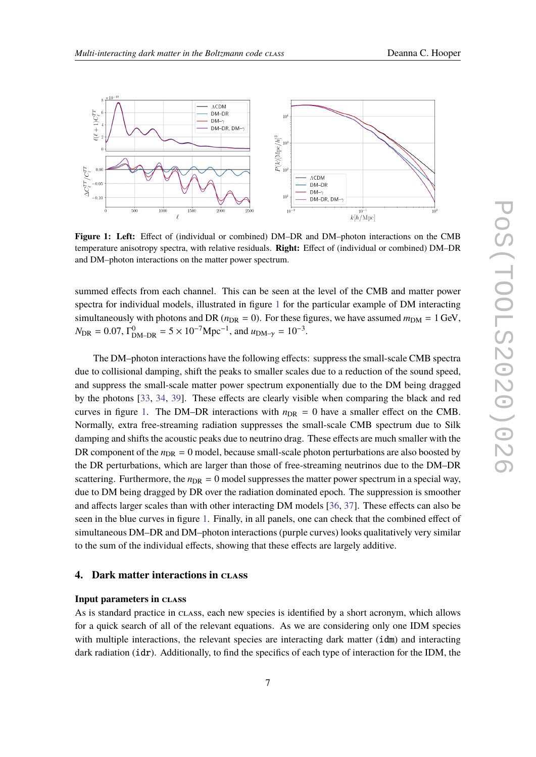

<span id="page-6-0"></span>

**Figure 1: Left:** Effect of (individual or combined) DM–DR and DM–photon interactions on the CMB temperature anisotropy spectra, with relative residuals. **Right:** Effect of (individual or combined) DM–DR and DM–photon interactions on the matter power spectrum.

summed effects from each channel. This can be seen at the level of the CMB and matter power spectra for individual models, illustrated in figure [1](#page-6-0) for the particular example of DM interacting simultaneously with photons and DR ( $n_{DR} = 0$ ). For these figures, we have assumed  $m_{DM} = 1$  GeV,  $N_{\text{DR}} = 0.07$ ,  $\Gamma_{\text{DM}-\text{DR}}^0 = 5 \times 10^{-7} \text{Mpc}^{-1}$ , and  $u_{\text{DM}-\gamma} = 10^{-3}$ .

The DM–photon interactions have the following effects: suppress the small-scale CMB spectra due to collisional damping, shift the peaks to smaller scales due to a reduction of the sound speed, and suppress the small-scale matter power spectrum exponentially due to the DM being dragged by the photons [\[33,](#page-15-7) [34,](#page-15-8) [39\]](#page-15-13). These effects are clearly visible when comparing the black and red curves in figure [1.](#page-6-0) The DM–DR interactions with  $n_{DR} = 0$  have a smaller effect on the CMB. Normally, extra free-streaming radiation suppresses the small-scale CMB spectrum due to Silk damping and shifts the acoustic peaks due to neutrino drag. These effects are much smaller with the DR component of the  $n_{\text{DR}} = 0$  model, because small-scale photon perturbations are also boosted by the DR perturbations, which are larger than those of free-streaming neutrinos due to the DM–DR scattering. Furthermore, the  $n<sub>DR</sub> = 0$  model suppresses the matter power spectrum in a special way, due to DM being dragged by DR over the radiation dominated epoch. The suppression is smoother and affects larger scales than with other interacting DM models [\[36,](#page-15-10) [37\]](#page-15-11). These effects can also be seen in the blue curves in figure [1.](#page-6-0) Finally, in all panels, one can check that the combined effect of simultaneous DM–DR and DM–photon interactions (purple curves) looks qualitatively very similar to the sum of the individual effects, showing that these effects are largely additive.

#### **4. Dark matter interactions in class**

#### **Input parameters in class**

As is standard practice in class, each new species is identified by a short acronym, which allows for a quick search of all of the relevant equations. As we are considering only one IDM species with multiple interactions, the relevant species are interacting dark matter (idm) and interacting dark radiation (idr). Additionally, to find the specifics of each type of interaction for the IDM, the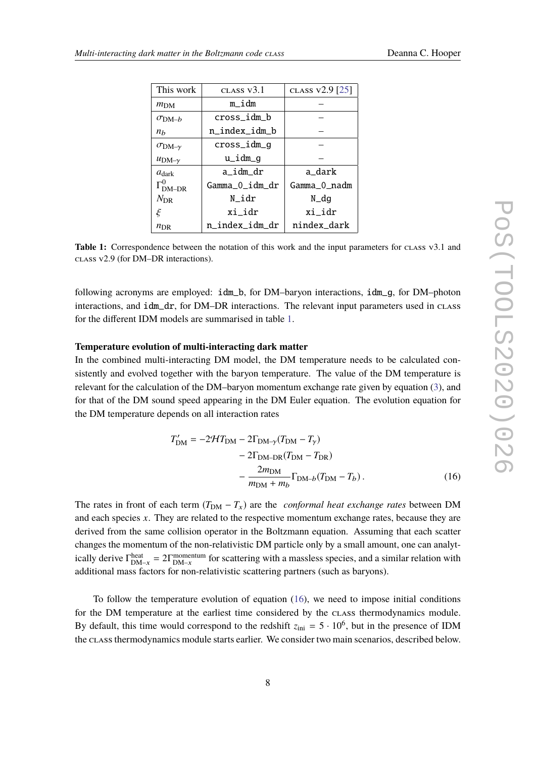<span id="page-7-0"></span>

| This work                        | CLASS V3.1     | CLASS v2.9 [25] |  |  |
|----------------------------------|----------------|-----------------|--|--|
| $m_{DM}$                         | m_idm          |                 |  |  |
| $\sigma$ DM-b                    | cross idm b    |                 |  |  |
| $n_h$                            | n index idm b  |                 |  |  |
| $\sigma_{DM-\gamma}$             | cross_idm_g    |                 |  |  |
| $u_{DM-\gamma}$                  | u_idm_g        |                 |  |  |
| $a_{\text{dark}}$                | a idm dr       | a_dark          |  |  |
| $\Gamma_{\text{DM}-\text{DR}}^0$ | Gamma O idm dr | Gamma 0 nadm    |  |  |
| $N_{\rm DR}$                     | N idr          | N_dg            |  |  |
| ξ                                | xi idr         | xi idr          |  |  |
| $n_{\rm DR}$                     | n index idm dr | nindex_dark     |  |  |

**Table 1:** Correspondence between the notation of this work and the input parameters for class v3.1 and class v2.9 (for DM–DR interactions).

following acronyms are employed: idm\_b, for DM–baryon interactions, idm\_g, for DM–photon interactions, and idm dr, for DM–DR interactions. The relevant input parameters used in class for the different IDM models are summarised in table [1.](#page-7-0)

#### **Temperature evolution of multi-interacting dark matter**

In the combined multi-interacting DM model, the DM temperature needs to be calculated consistently and evolved together with the baryon temperature. The value of the DM temperature is relevant for the calculation of the DM–baryon momentum exchange rate given by equation [\(3\)](#page-3-0), and for that of the DM sound speed appearing in the DM Euler equation. The evolution equation for the DM temperature depends on all interaction rates

<span id="page-7-1"></span>
$$
T'_{\rm DM} = -2\mathcal{H}T_{\rm DM} - 2\Gamma_{\rm DM-\gamma}(T_{\rm DM} - T_{\gamma}) - 2\Gamma_{\rm DM-DR}(T_{\rm DM} - T_{\rm DR}) - \frac{2m_{\rm DM}}{m_{\rm DM} + m_b}\Gamma_{\rm DM-b}(T_{\rm DM} - T_b).
$$
 (16)

The rates in front of each term  $(T_{DM} - T_x)$  are the *conformal heat exchange rates* between DM and each species *x*. They are related to the respective momentum exchange rates, because they are derived from the same collision operator in the Boltzmann equation. Assuming that each scatter changes the momentum of the non-relativistic DM particle only by a small amount, one can analytically derive  $\Gamma_{DM-x}^{heat} = 2\Gamma_{DM-x}^{momentum}$  for scattering with a massless species, and a similar relation with additional mass factors for non-relativistic scattering partners (such as baryons).

To follow the temperature evolution of equation  $(16)$ , we need to impose initial conditions for the DM temperature at the earliest time considered by the class thermodynamics module. By default, this time would correspond to the redshift  $z_{\text{ini}} = 5 \cdot 10^6$ , but in the presence of IDM the class thermodynamics module starts earlier. We consider two main scenarios, described below.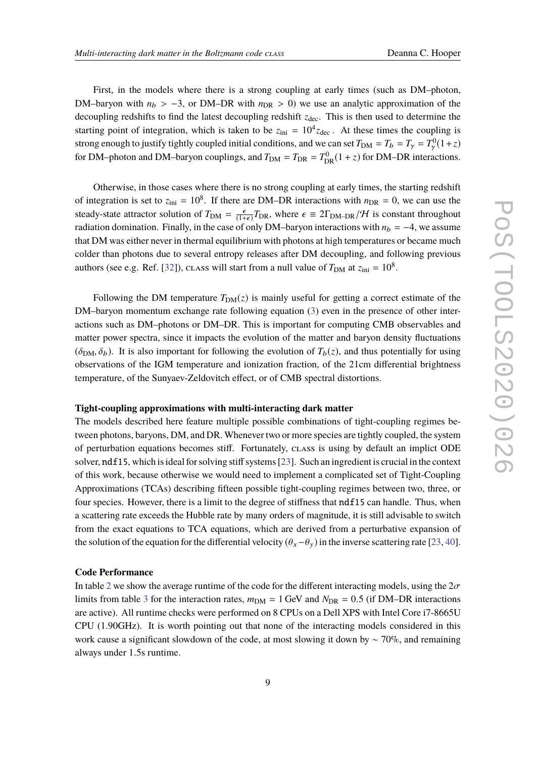First, in the models where there is a strong coupling at early times (such as DM–photon, DM–baryon with  $n_b > -3$ , or DM–DR with  $n_{DR} > 0$ ) we use an analytic approximation of the decoupling redshifts to find the latest decoupling redshift  $z_{dec}$ . This is then used to determine the starting point of integration, which is taken to be  $z_{\text{ini}} = 10^4 z_{\text{dec}}$ . At these times the coupling is strong enough to justify tightly coupled initial conditions, and we can set  $T_{DM} = T_b = T_\gamma = T_\gamma^0 (1+z)$ for DM–photon and DM–baryon couplings, and  $T_{DM} = T_{DR} = T_{DR}^0 (1 + z)$  for DM–DR interactions.

Otherwise, in those cases where there is no strong coupling at early times, the starting redshift of integration is set to  $z_{\text{ini}} = 10^8$ . If there are DM–DR interactions with  $n_{\text{DR}} = 0$ , we can use the steady-state attractor solution of  $T_{DM} = \frac{\epsilon}{(1+\epsilon)} T_{DR}$ , where  $\epsilon \equiv 2\Gamma_{DM-DR}/\mathcal{H}$  is constant throughout rediction domination. Finally, in the case of only DM, between interactions with  $n_r = -4$ , we assume radiation domination. Finally, in the case of only DM–baryon interactions with  $n_b = -4$ , we assume that DM was either never in thermal equilibrium with photons at high temperatures or became much colder than photons due to several entropy releases after DM decoupling, and following previous authors (see e.g. Ref. [\[32\]](#page-15-5)), class will start from a null value of  $T_{DM}$  at  $z_{\text{ini}} = 10^8$ .

Following the DM temperature  $T_{DM}(z)$  is mainly useful for getting a correct estimate of the DM–baryon momentum exchange rate following equation [\(3\)](#page-3-0) even in the presence of other interactions such as DM–photons or DM–DR. This is important for computing CMB observables and matter power spectra, since it impacts the evolution of the matter and baryon density fluctuations  $(\delta_{DM}, \delta_b)$ . It is also important for following the evolution of  $T_b(z)$ , and thus potentially for using observations of the IGM temperature and ionization fraction, of the 21cm differential brightness temperature, of the Sunyaev-Zeldovitch effect, or of CMB spectral distortions.

#### **Tight-coupling approximations with multi-interacting dark matter**

The models described here feature multiple possible combinations of tight-coupling regimes between photons, baryons, DM, and DR. Whenever two or more species are tightly coupled, the system of perturbation equations becomes stiff. Fortunately, class is using by default an implict ODE solver, ndf15, which is ideal for solving stiff systems [\[23\]](#page-14-6). Such an ingredient is crucial in the context of this work, because otherwise we would need to implement a complicated set of Tight-Coupling Approximations (TCAs) describing fifteen possible tight-coupling regimes between two, three, or four species. However, there is a limit to the degree of stiffness that  $ndf15$  can handle. Thus, when a scattering rate exceeds the Hubble rate by many orders of magnitude, it is still advisable to switch from the exact equations to TCA equations, which are derived from a perturbative expansion of the solution of the equation for the differential velocity  $(\theta_x-\theta_y)$  in the inverse scattering rate [\[23,](#page-14-6) [40\]](#page-16-0).

#### **Code Performance**

In table [2](#page-9-0) we show the average runtime of the code for the different interacting models, using the  $2\sigma$ limits from table [3](#page-10-0) for the interaction rates,  $m_{DM} = 1$  GeV and  $N_{DR} = 0.5$  (if DM–DR interactions are active). All runtime checks were performed on 8 CPUs on a Dell XPS with Intel Core i7-8665U CPU (1.90GHz). It is worth pointing out that none of the interacting models considered in this work cause a significant slowdown of the code, at most slowing it down by ∼ 70%, and remaining always under <sup>1</sup>.5s runtime.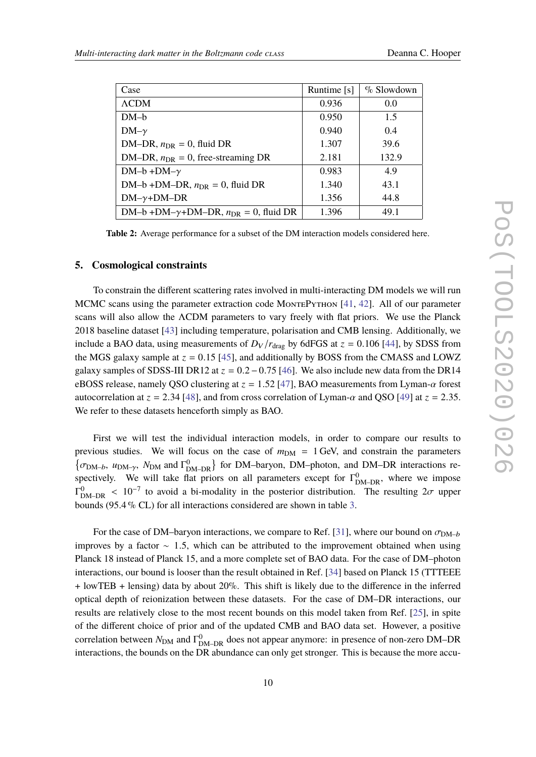<span id="page-9-0"></span>

| Case                                               | Runtime $[s]$ | $\%$ Slowdown |
|----------------------------------------------------|---------------|---------------|
| <b>ACDM</b>                                        | 0.936         | 0.0           |
| $DM-b$                                             | 0.950         | 1.5           |
| $DM-\gamma$                                        | 0.940         | 0.4           |
| DM-DR, $n_{DR} = 0$ , fluid DR                     | 1.307         | 39.6          |
| DM-DR, $n_{DR} = 0$ , free-streaming DR            | 2.181         | 132.9         |
| $DM-b + DM-\gamma$                                 | 0.983         | 4.9           |
| DM-b+DM-DR, $n_{DR} = 0$ , fluid DR                | 1.340         | 43.1          |
| $DM-\gamma+DM-DR$                                  | 1.356         | 44.8          |
| DM-b +DM- $\gamma$ +DM-DR, $n_{DR} = 0$ , fluid DR | 1.396         | 49.1          |
|                                                    |               |               |

**Table 2:** Average performance for a subset of the DM interaction models considered here.

#### **5. Cosmological constraints**

To constrain the different scattering rates involved in multi-interacting DM models we will run MCMC scans using the parameter extraction code MONTEPYTHON [\[41,](#page-16-1) [42\]](#page-16-2). All of our parameter scans will also allow the ΛCDM parameters to vary freely with flat priors. We use the Planck 2018 baseline dataset [\[43\]](#page-16-3) including temperature, polarisation and CMB lensing. Additionally, we include a BAO data, using measurements of  $D_V/r_{drag}$  by 6dFGS at  $z = 0.106$  [\[44\]](#page-16-4), by SDSS from the MGS galaxy sample at  $z = 0.15$  [\[45\]](#page-16-5), and additionally by BOSS from the CMASS and LOWZ galaxy samples of SDSS-III DR12 at *<sup>z</sup>* <sup>=</sup> <sup>0</sup>.2−0.<sup>75</sup> [\[46\]](#page-16-6). We also include new data from the DR14 eBOSS release, namely QSO clustering at  $z = 1.52$  [\[47\]](#page-16-7), BAO measurements from Lyman- $\alpha$  forest autocorrelation at  $z = 2.34$  [\[48\]](#page-16-8), and from cross correlation of Lyman- $\alpha$  and QSO [\[49\]](#page-16-9) at  $z = 2.35$ . We refer to these datasets henceforth simply as BAO.

First we will test the individual interaction models, in order to compare our results to previous studies. We will focus on the case of  $m_{DM} = 1$  GeV, and constrain the parameters  $\{\sigma_{\text{DM}-b}, u_{\text{DM}-\gamma}, N_{\text{DM}} \text{ and } \Gamma_{\text{DM}-\text{DR}}^0\}$  for DM–baryon, DM–photon, and DM–DR interactions respectively. We will take flat priors on all parameters except for  $\Gamma_{DM-DR}^0$ , where we impose  $\Gamma_{\text{DM-DR}}^0$  < 10<sup>-7</sup> to avoid a bi-modality in the posterior distribution. The resulting  $2\sigma$  upper<br>have (05.4  $\%$  CI) for all interactions considered are shown in table 2. bounds (95.4 % CL) for all interactions considered are shown in table [3.](#page-10-0)

For the case of DM–baryon interactions, we compare to Ref. [\[31\]](#page-15-6), where our bound on  $\sigma_{\text{DM}-b}$ improves by a factor  $\sim$  1.5, which can be attributed to the improvement obtained when using Planck 18 instead of Planck 15, and a more complete set of BAO data. For the case of DM–photon interactions, our bound is looser than the result obtained in Ref. [\[34\]](#page-15-8) based on Planck 15 (TTTEEE + lowTEB + lensing) data by about 20%. This shift is likely due to the difference in the inferred optical depth of reionization between these datasets. For the case of DM–DR interactions, our results are relatively close to the most recent bounds on this model taken from Ref. [\[25\]](#page-15-0), in spite of the different choice of prior and of the updated CMB and BAO data set. However, a positive correlation between  $N_{DM}$  and  $\Gamma_{DM-DR}^0$  does not appear anymore: in presence of non-zero DM–DR interactions, the bounds on the DR abundance can only get stronger. This is because the more accu-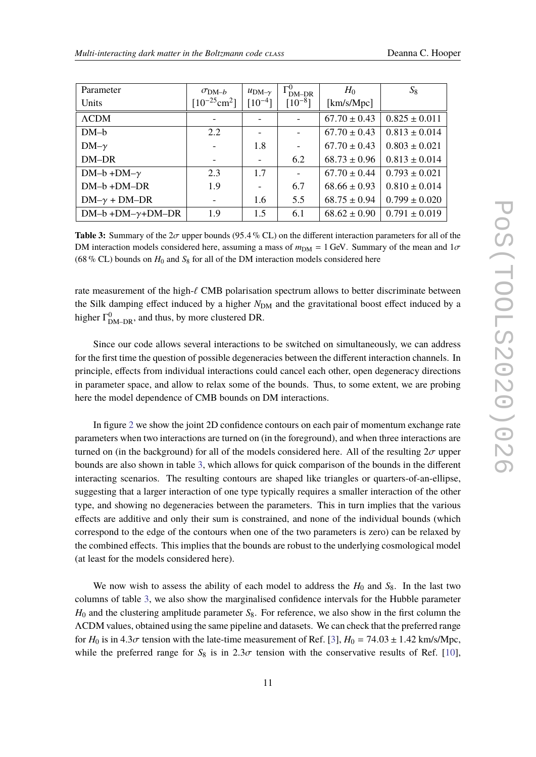<span id="page-10-0"></span>

| Parameter                | $\sigma_{\text{DM}-b}$        | $u_{DM-v}$  | $\Gamma_{\text{DM}-\text{DR}}^0$ | $H_0$            | $S_8$             |
|--------------------------|-------------------------------|-------------|----------------------------------|------------------|-------------------|
| <b>Units</b>             | $[10^{-25}$ cm <sup>2</sup> ] | $[10^{-4}]$ | $[10^{-8}]$                      | [km/s/Mpc]       |                   |
| $\Lambda$ CDM            |                               |             |                                  | $67.70 \pm 0.43$ | $0.825 \pm 0.011$ |
| $DM-b$                   | 2.2                           |             |                                  | $67.70 \pm 0.43$ | $0.813 \pm 0.014$ |
| $DM-\gamma$              |                               | 1.8         |                                  | $67.70 \pm 0.43$ | $0.803 \pm 0.021$ |
| DM-DR                    |                               |             | 6.2                              | $68.73 \pm 0.96$ | $0.813 \pm 0.014$ |
| $DM-b + DM-\gamma$       | 2.3                           | 1.7         |                                  | $67.70 \pm 0.44$ | $0.793 \pm 0.021$ |
| $DM-b + DM-DR$           | 1.9                           |             | 6.7                              | $68.66 \pm 0.93$ | $0.810 \pm 0.014$ |
| $DM-\gamma + DM-DR$      |                               | 1.6         | 5.5                              | $68.75 \pm 0.94$ | $0.799 \pm 0.020$ |
| $DM-b + DM-\gamma+DM-DR$ | 1.9                           | 1.5         | 6.1                              | $68.62 \pm 0.90$ | $0.791 \pm 0.019$ |
|                          |                               |             |                                  |                  |                   |

**Table 3:** Summary of the <sup>2</sup>σ upper bounds (95.4 % CL) on the different interaction parameters for all of the DM interaction models considered here, assuming a mass of  $m_{DM} = 1$  GeV. Summary of the mean and  $1\sigma$ (68 % CL) bounds on  $H_0$  and  $S_8$  for all of the DM interaction models considered here

rate measurement of the high- $\ell$  CMB polarisation spectrum allows to better discriminate between the Silk damping effect induced by a higher  $N_{DM}$  and the gravitational boost effect induced by a higher  $\Gamma_{\text{DM}-\text{DR}}^0$ , and thus, by more clustered DR.

Since our code allows several interactions to be switched on simultaneously, we can address for the first time the question of possible degeneracies between the different interaction channels. In principle, effects from individual interactions could cancel each other, open degeneracy directions in parameter space, and allow to relax some of the bounds. Thus, to some extent, we are probing here the model dependence of CMB bounds on DM interactions.

In figure [2](#page-11-0) we show the joint 2D confidence contours on each pair of momentum exchange rate parameters when two interactions are turned on (in the foreground), and when three interactions are turned on (in the background) for all of the models considered here. All of the resulting  $2\sigma$  upper bounds are also shown in table [3,](#page-10-0) which allows for quick comparison of the bounds in the different interacting scenarios. The resulting contours are shaped like triangles or quarters-of-an-ellipse, suggesting that a larger interaction of one type typically requires a smaller interaction of the other type, and showing no degeneracies between the parameters. This in turn implies that the various effects are additive and only their sum is constrained, and none of the individual bounds (which correspond to the edge of the contours when one of the two parameters is zero) can be relaxed by the combined effects. This implies that the bounds are robust to the underlying cosmological model (at least for the models considered here).

We now wish to assess the ability of each model to address the  $H_0$  and  $S_8$ . In the last two columns of table [3,](#page-10-0) we also show the marginalised confidence intervals for the Hubble parameter  $H_0$  and the clustering amplitude parameter  $S_8$ . For reference, we also show in the first column the ΛCDM values, obtained using the same pipeline and datasets. We can check that the preferred range for  $H_0$  is in 4.3 $\sigma$  tension with the late-time measurement of Ref. [\[3\]](#page-13-6),  $H_0 = 74.03 \pm 1.42$  km/s/Mpc, while the preferred range for  $S_8$  is in  $2.3\sigma$  tension with the conservative results of Ref. [\[10\]](#page-14-8),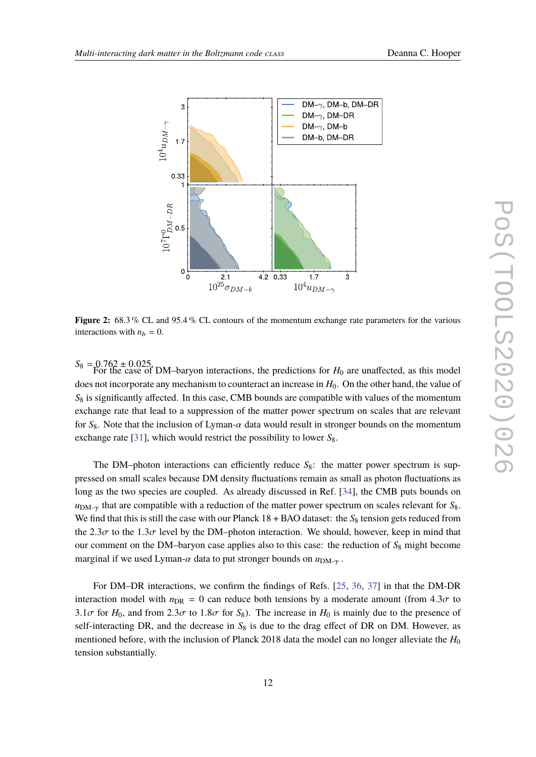<span id="page-11-0"></span>

**Figure 2:** 68.3 % CL and 95.4 % CL contours of the momentum exchange rate parameters for the various interactions with  $n_b = 0$ .

 $S_8 = 0.762 \pm 0.025$ . DM–baryon interactions, the predictions for  $H_0$  are unaffected, as this model does not incorporate any mechanism to counteract an increase in  $H_0$ . On the other hand, the value of *S*<sup>8</sup> is significantly affected. In this case, CMB bounds are compatible with values of the momentum exchange rate that lead to a suppression of the matter power spectrum on scales that are relevant for  $S_8$ . Note that the inclusion of Lyman- $\alpha$  data would result in stronger bounds on the momentum exchange rate [\[31\]](#page-15-6), which would restrict the possibility to lower  $S_8$ .

The DM–photon interactions can efficiently reduce  $S_8$ : the matter power spectrum is suppressed on small scales because DM density fluctuations remain as small as photon fluctuations as long as the two species are coupled. As already discussed in Ref. [\[34\]](#page-15-8), the CMB puts bounds on  $u_{DM-y}$  that are compatible with a reduction of the matter power spectrum on scales relevant for  $S_8$ . We find that this is still the case with our Planck  $18 + BAO$  dataset: the  $S_8$  tension gets reduced from the 2.3 $\sigma$  to the 1.3 $\sigma$  level by the DM–photon interaction. We should, however, keep in mind that our comment on the DM–baryon case applies also to this case: the reduction of  $S_8$  might become marginal if we used Lyman- $\alpha$  data to put stronger bounds on  $u_{DM-\gamma}$ .

For DM–DR interactions, we confirm the findings of Refs. [\[25,](#page-15-0) [36,](#page-15-10) [37\]](#page-15-11) in that the DM-DR interaction model with  $n_{\text{DR}} = 0$  can reduce both tensions by a moderate amount (from 4.3 $\sigma$  to 3.1 $\sigma$  for  $H_0$ , and from 2.3 $\sigma$  to 1.8 $\sigma$  for  $S_8$ ). The increase in  $H_0$  is mainly due to the presence of self-interacting DR, and the decrease in  $S_8$  is due to the drag effect of DR on DM. However, as mentioned before, with the inclusion of Planck 2018 data the model can no longer alleviate the *H*<sup>0</sup> tension substantially.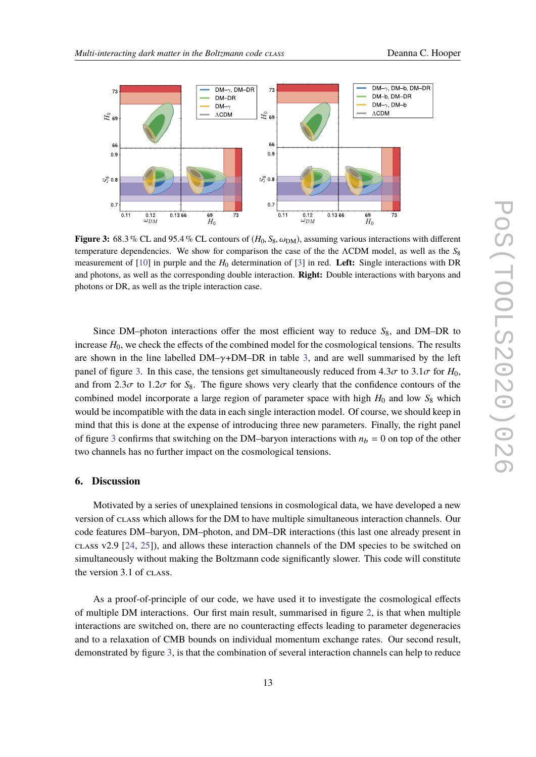<span id="page-12-0"></span>

**Figure 3:** 68.3 % CL and 95.4 % CL contours of  $(H_0, S_8, \omega_{DM})$ , assuming various interactions with different temperature dependencies. We show for comparison the case of the the ΛCDM model, as well as the *S*<sup>8</sup> measurement of [\[10\]](#page-14-8) in purple and the *H*<sup>0</sup> determination of [\[3\]](#page-13-6) in red. **Left:** Single interactions with DR and photons, as well as the corresponding double interaction. **Right:** Double interactions with baryons and photons or DR, as well as the triple interaction case.

Since DM–photon interactions offer the most efficient way to reduce  $S_8$ , and DM–DR to increase  $H_0$ , we check the effects of the combined model for the cosmological tensions. The results are shown in the line labelled  $DM-\gamma+DM-DR$  in table [3,](#page-10-0) and are well summarised by the left panel of figure [3.](#page-12-0) In this case, the tensions get simultaneously reduced from  $4.3\sigma$  to  $3.1\sigma$  for  $H_0$ , and from 2.3 $\sigma$  to 1.2 $\sigma$  for  $S_8$ . The figure shows very clearly that the confidence contours of the combined model incorporate a large region of parameter space with high  $H_0$  and low  $S_8$  which would be incompatible with the data in each single interaction model. Of course, we should keep in mind that this is done at the expense of introducing three new parameters. Finally, the right panel of figure [3](#page-12-0) confirms that switching on the DM–baryon interactions with  $n_b = 0$  on top of the other two channels has no further impact on the cosmological tensions.

#### **6. Discussion**

Motivated by a series of unexplained tensions in cosmological data, we have developed a new version of class which allows for the DM to have multiple simultaneous interaction channels. Our code features DM–baryon, DM–photon, and DM–DR interactions (this last one already present in class v2.9 [\[24,](#page-14-7) [25\]](#page-15-0)), and allows these interaction channels of the DM species to be switched on simultaneously without making the Boltzmann code significantly slower. This code will constitute the version 3.1 of class.

As a proof-of-principle of our code, we have used it to investigate the cosmological effects of multiple DM interactions. Our first main result, summarised in figure [2,](#page-11-0) is that when multiple interactions are switched on, there are no counteracting effects leading to parameter degeneracies and to a relaxation of CMB bounds on individual momentum exchange rates. Our second result, demonstrated by figure [3,](#page-12-0) is that the combination of several interaction channels can help to reduce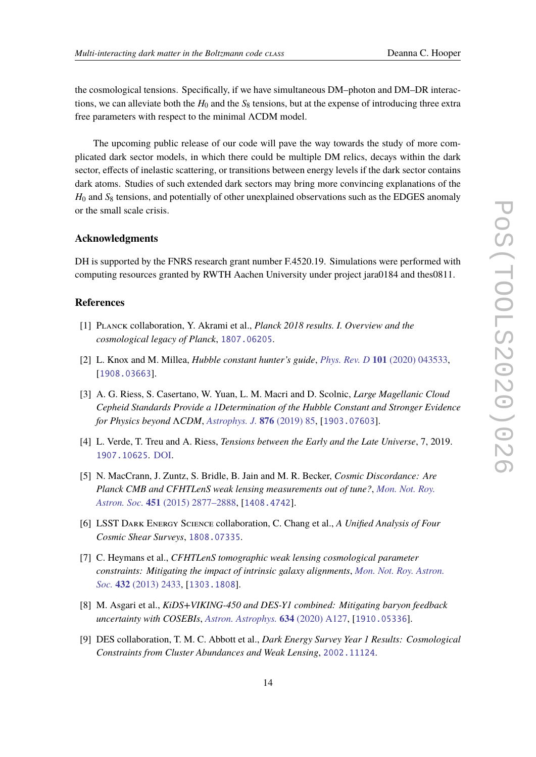the cosmological tensions. Specifically, if we have simultaneous DM–photon and DM–DR interactions, we can alleviate both the  $H_0$  and the  $S_8$  tensions, but at the expense of introducing three extra free parameters with respect to the minimal ΛCDM model.

The upcoming public release of our code will pave the way towards the study of more complicated dark sector models, in which there could be multiple DM relics, decays within the dark sector, effects of inelastic scattering, or transitions between energy levels if the dark sector contains dark atoms. Studies of such extended dark sectors may bring more convincing explanations of the  $H_0$  and  $S_8$  tensions, and potentially of other unexplained observations such as the EDGES anomaly or the small scale crisis.

#### **Acknowledgments**

DH is supported by the FNRS research grant number F.4520.19. Simulations were performed with computing resources granted by RWTH Aachen University under project jara0184 and thes0811.

#### **References**

- <span id="page-13-0"></span>[1] Planck collaboration, Y. Akrami et al., *Planck 2018 results. I. Overview and the cosmological legacy of Planck*, [1807.06205](https://arxiv.org/abs/1807.06205).
- <span id="page-13-1"></span>[2] L. Knox and M. Millea, *Hubble constant hunter's guide*, *Phys. Rev. D* **101** [\(2020\) 043533,](http://dx.doi.org/10.1103/PhysRevD.101.043533) [[1908.03663](https://arxiv.org/abs/1908.03663)].
- <span id="page-13-6"></span>[3] A. G. Riess, S. Casertano, W. Yuan, L. M. Macri and D. Scolnic, *Large Magellanic Cloud Cepheid Standards Provide a 1Determination of the Hubble Constant and Stronger Evidence for Physics beyond* Λ*CDM*, *[Astrophys. J.](http://dx.doi.org/10.3847/1538-4357/ab1422)* **876** (2019) 85, [[1903.07603](https://arxiv.org/abs/1903.07603)].
- <span id="page-13-2"></span>[4] L. Verde, T. Treu and A. Riess, *Tensions between the Early and the Late Universe*, 7, 2019. [1907.10625](https://arxiv.org/abs/1907.10625). [DOI.](http://dx.doi.org/10.1038/s41550-019-0902-0)
- <span id="page-13-3"></span>[5] N. MacCrann, J. Zuntz, S. Bridle, B. Jain and M. R. Becker, *Cosmic Discordance: Are Planck CMB and CFHTLenS weak lensing measurements out of tune?*, *[Mon. Not. Roy.](http://dx.doi.org/10.1093/mnras/stv1154) Astron. Soc.* **451** [\(2015\) 2877–2888,](http://dx.doi.org/10.1093/mnras/stv1154) [[1408.4742](https://arxiv.org/abs/1408.4742)].
- <span id="page-13-4"></span>[6] LSST Dark Energy Science collaboration, C. Chang et al., *A Unified Analysis of Four Cosmic Shear Surveys*, [1808.07335](https://arxiv.org/abs/1808.07335).
- <span id="page-13-5"></span>[7] C. Heymans et al., *CFHTLenS tomographic weak lensing cosmological parameter constraints: Mitigating the impact of intrinsic galaxy alignments*, *[Mon. Not. Roy. Astron.](http://dx.doi.org/10.1093/mnras/stt601) Soc.* **432** [\(2013\) 2433,](http://dx.doi.org/10.1093/mnras/stt601) [[1303.1808](https://arxiv.org/abs/1303.1808)].
- [8] M. Asgari et al., *KiDS+VIKING-450 and DES-Y1 combined: Mitigating baryon feedback uncertainty with COSEBIs*, *[Astron. Astrophys.](http://dx.doi.org/10.1051/0004-6361/201936512)* **634** (2020) A127, [[1910.05336](https://arxiv.org/abs/1910.05336)].
- [9] DES collaboration, T. M. C. Abbott et al., *Dark Energy Survey Year 1 Results: Cosmological Constraints from Cluster Abundances and Weak Lensing*, [2002.11124](https://arxiv.org/abs/2002.11124).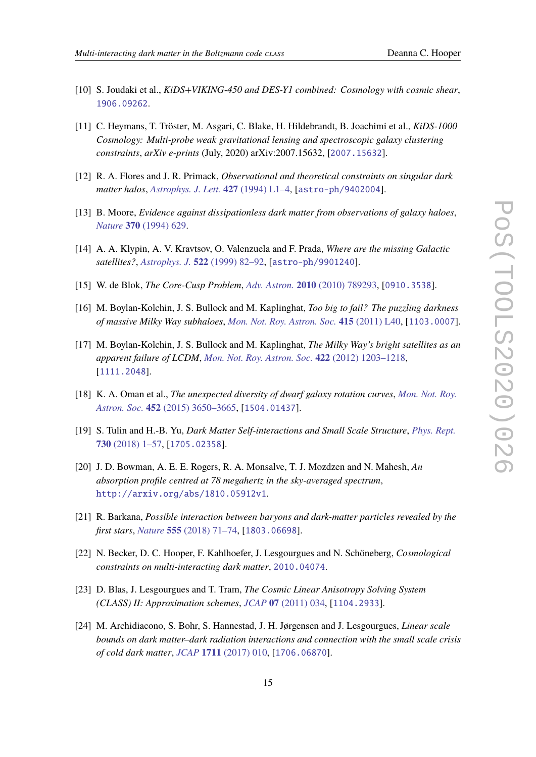- <span id="page-14-8"></span>[10] S. Joudaki et al., *KiDS+VIKING-450 and DES-Y1 combined: Cosmology with cosmic shear*, [1906.09262](https://arxiv.org/abs/1906.09262).
- <span id="page-14-0"></span>[11] C. Heymans, T. Tröster, M. Asgari, C. Blake, H. Hildebrandt, B. Joachimi et al., *KiDS-1000 Cosmology: Multi-probe weak gravitational lensing and spectroscopic galaxy clustering constraints*, *arXiv e-prints* (July, 2020) arXiv:2007.15632, [[2007.15632](https://arxiv.org/abs/2007.15632)].
- <span id="page-14-1"></span>[12] R. A. Flores and J. R. Primack, *Observational and theoretical constraints on singular dark matter halos*, *[Astrophys. J. Lett.](http://dx.doi.org/10.1086/187350)* **427** (1994) L1–4, [[astro-ph/9402004](https://arxiv.org/abs/astro-ph/9402004)].
- [13] B. Moore, *Evidence against dissipationless dark matter from observations of galaxy haloes*, *Nature* **370** [\(1994\) 629.](http://dx.doi.org/10.1038/370629a0)
- [14] A. A. Klypin, A. V. Kravtsov, O. Valenzuela and F. Prada, *Where are the missing Galactic satellites?*, *Astrophys. J.* **522** [\(1999\) 82–92,](http://dx.doi.org/10.1086/307643) [[astro-ph/9901240](https://arxiv.org/abs/astro-ph/9901240)].
- [15] W. de Blok, *The Core-Cusp Problem*, *Adv. Astron.* **2010** [\(2010\) 789293,](http://dx.doi.org/10.1155/2010/789293) [[0910.3538](https://arxiv.org/abs/0910.3538)].
- [16] M. Boylan-Kolchin, J. S. Bullock and M. Kaplinghat, *Too big to fail? The puzzling darkness of massive Milky Way subhaloes*, *[Mon. Not. Roy. Astron. Soc.](http://dx.doi.org/10.1111/j.1745-3933.2011.01074.x)* **415** (2011) L40, [[1103.0007](https://arxiv.org/abs/1103.0007)].
- [17] M. Boylan-Kolchin, J. S. Bullock and M. Kaplinghat, *The Milky Way's bright satellites as an apparent failure of LCDM*, *[Mon. Not. Roy. Astron. Soc.](http://dx.doi.org/10.1111/j.1365-2966.2012.20695.x)* **422** (2012) 1203–1218, [[1111.2048](https://arxiv.org/abs/1111.2048)].
- [18] K. A. Oman et al., *The unexpected diversity of dwarf galaxy rotation curves*, *[Mon. Not. Roy.](http://dx.doi.org/10.1093/mnras/stv1504) Astron. Soc.* **452** [\(2015\) 3650–3665,](http://dx.doi.org/10.1093/mnras/stv1504) [[1504.01437](https://arxiv.org/abs/1504.01437)].
- <span id="page-14-2"></span>[19] S. Tulin and H.-B. Yu, *Dark Matter Self-interactions and Small Scale Structure*, *[Phys. Rept.](http://dx.doi.org/10.1016/j.physrep.2017.11.004)* **730** [\(2018\) 1–57,](http://dx.doi.org/10.1016/j.physrep.2017.11.004) [[1705.02358](https://arxiv.org/abs/1705.02358)].
- <span id="page-14-3"></span>[20] J. D. Bowman, A. E. E. Rogers, R. A. Monsalve, T. J. Mozdzen and N. Mahesh, *An absorption profile centred at 78 megahertz in the sky-averaged spectrum*, [http://arxiv.org/abs/1810.05912v1](https://arxiv.org/abs/http://arxiv.org/abs/1810.05912v1).
- <span id="page-14-4"></span>[21] R. Barkana, *Possible interaction between baryons and dark-matter particles revealed by the first stars*, *Nature* **555** [\(2018\) 71–74,](http://dx.doi.org/10.1038/nature25791) [[1803.06698](https://arxiv.org/abs/1803.06698)].
- <span id="page-14-5"></span>[22] N. Becker, D. C. Hooper, F. Kahlhoefer, J. Lesgourgues and N. Schöneberg, *Cosmological constraints on multi-interacting dark matter*, [2010.04074](https://arxiv.org/abs/2010.04074).
- <span id="page-14-6"></span>[23] D. Blas, J. Lesgourgues and T. Tram, *The Cosmic Linear Anisotropy Solving System (CLASS) II: Approximation schemes*, *JCAP* **07** [\(2011\) 034,](http://dx.doi.org/10.1088/1475-7516/2011/07/034) [[1104.2933](https://arxiv.org/abs/1104.2933)].
- <span id="page-14-7"></span>[24] M. Archidiacono, S. Bohr, S. Hannestad, J. H. Jørgensen and J. Lesgourgues, *Linear scale bounds on dark matter–dark radiation interactions and connection with the small scale crisis of cold dark matter*, *JCAP* **1711** [\(2017\) 010,](http://dx.doi.org/10.1088/1475-7516/2017/11/010) [[1706.06870](https://arxiv.org/abs/1706.06870)].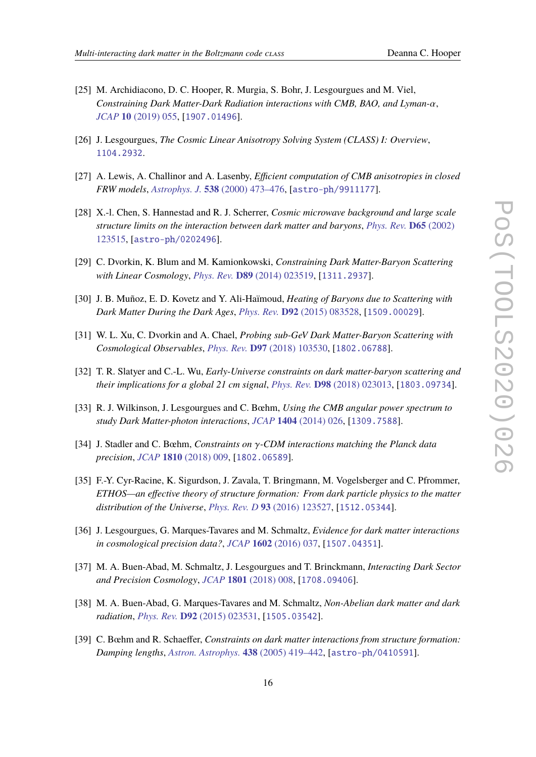- <span id="page-15-0"></span>[25] M. Archidiacono, D. C. Hooper, R. Murgia, S. Bohr, J. Lesgourgues and M. Viel, *Constraining Dark Matter-Dark Radiation interactions with CMB, BAO, and Lyman-*α, *JCAP* **10** [\(2019\) 055,](http://dx.doi.org/10.1088/1475-7516/2019/10/055) [[1907.01496](https://arxiv.org/abs/1907.01496)].
- <span id="page-15-1"></span>[26] J. Lesgourgues, *The Cosmic Linear Anisotropy Solving System (CLASS) I: Overview*, [1104.2932](https://arxiv.org/abs/1104.2932).
- <span id="page-15-2"></span>[27] A. Lewis, A. Challinor and A. Lasenby, *Efficient computation of CMB anisotropies in closed FRW models*, *Astrophys. J.* **538** [\(2000\) 473–476,](http://dx.doi.org/10.1086/309179) [[astro-ph/9911177](https://arxiv.org/abs/astro-ph/9911177)].
- <span id="page-15-3"></span>[28] X.-l. Chen, S. Hannestad and R. J. Scherrer, *Cosmic microwave background and large scale structure limits on the interaction between dark matter and baryons*, *[Phys. Rev.](http://dx.doi.org/10.1103/PhysRevD.65.123515)* **D65** (2002) [123515,](http://dx.doi.org/10.1103/PhysRevD.65.123515) [[astro-ph/0202496](https://arxiv.org/abs/astro-ph/0202496)].
- <span id="page-15-4"></span>[29] C. Dvorkin, K. Blum and M. Kamionkowski, *Constraining Dark Matter-Baryon Scattering with Linear Cosmology*, *Phys. Rev.* **D89** [\(2014\) 023519,](http://dx.doi.org/10.1103/PhysRevD.89.023519) [[1311.2937](https://arxiv.org/abs/1311.2937)].
- [30] J. B. Muñoz, E. D. Kovetz and Y. Ali-Haïmoud, *Heating of Baryons due to Scattering with Dark Matter During the Dark Ages*, *Phys. Rev.* **D92** [\(2015\) 083528,](http://dx.doi.org/10.1103/PhysRevD.92.083528) [[1509.00029](https://arxiv.org/abs/1509.00029)].
- <span id="page-15-6"></span>[31] W. L. Xu, C. Dvorkin and A. Chael, *Probing sub-GeV Dark Matter-Baryon Scattering with Cosmological Observables*, *Phys. Rev.* **D97** [\(2018\) 103530,](http://dx.doi.org/10.1103/PhysRevD.97.103530) [[1802.06788](https://arxiv.org/abs/1802.06788)].
- <span id="page-15-5"></span>[32] T. R. Slatyer and C.-L. Wu, *Early-Universe constraints on dark matter-baryon scattering and their implications for a global 21 cm signal*, *Phys. Rev.* **D98** [\(2018\) 023013,](http://dx.doi.org/10.1103/PhysRevD.98.023013) [[1803.09734](https://arxiv.org/abs/1803.09734)].
- <span id="page-15-7"></span>[33] R. J. Wilkinson, J. Lesgourgues and C. Bœhm, *Using the CMB angular power spectrum to study Dark Matter-photon interactions*, *JCAP* **1404** [\(2014\) 026,](http://dx.doi.org/10.1088/1475-7516/2014/04/026) [[1309.7588](https://arxiv.org/abs/1309.7588)].
- <span id="page-15-8"></span>[34] J. Stadler and C. Bœhm, *Constraints on* γ*-CDM interactions matching the Planck data precision*, *JCAP* **1810** [\(2018\) 009,](http://dx.doi.org/10.1088/1475-7516/2018/10/009) [[1802.06589](https://arxiv.org/abs/1802.06589)].
- <span id="page-15-9"></span>[35] F.-Y. Cyr-Racine, K. Sigurdson, J. Zavala, T. Bringmann, M. Vogelsberger and C. Pfrommer, *ETHOS—an effective theory of structure formation: From dark particle physics to the matter distribution of the Universe*, *Phys. Rev. D* **93** [\(2016\) 123527,](http://dx.doi.org/10.1103/PhysRevD.93.123527) [[1512.05344](https://arxiv.org/abs/1512.05344)].
- <span id="page-15-10"></span>[36] J. Lesgourgues, G. Marques-Tavares and M. Schmaltz, *Evidence for dark matter interactions in cosmological precision data?*, *JCAP* **1602** [\(2016\) 037,](http://dx.doi.org/10.1088/1475-7516/2016/02/037) [[1507.04351](https://arxiv.org/abs/1507.04351)].
- <span id="page-15-11"></span>[37] M. A. Buen-Abad, M. Schmaltz, J. Lesgourgues and T. Brinckmann, *Interacting Dark Sector and Precision Cosmology*, *JCAP* **1801** [\(2018\) 008,](http://dx.doi.org/10.1088/1475-7516/2018/01/008) [[1708.09406](https://arxiv.org/abs/1708.09406)].
- <span id="page-15-12"></span>[38] M. A. Buen-Abad, G. Marques-Tavares and M. Schmaltz, *Non-Abelian dark matter and dark radiation*, *Phys. Rev.* **D92** [\(2015\) 023531,](http://dx.doi.org/10.1103/PhysRevD.92.023531) [[1505.03542](https://arxiv.org/abs/1505.03542)].
- <span id="page-15-13"></span>[39] C. Bœhm and R. Schaeffer, *Constraints on dark matter interactions from structure formation: Damping lengths*, *Astron. Astrophys.* **438** [\(2005\) 419–442,](http://dx.doi.org/10.1051/0004-6361:20042238) [[astro-ph/0410591](https://arxiv.org/abs/astro-ph/0410591)].